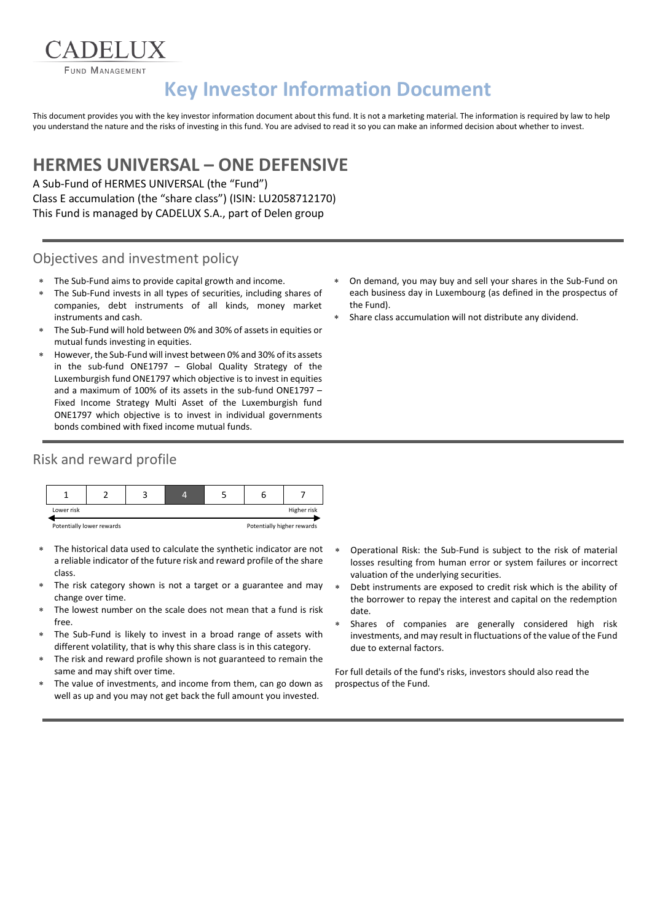**FUND MANAGEMENT** 

# **Key Investor Information Document**

This document provides you with the key investor information document about this fund. It is not a marketing material. The information is required by law to help you understand the nature and the risks of investing in this fund. You are advised to read it so you can make an informed decision about whether to invest.

## **HERMES UNIVERSAL – ONE DEFENSIVE**

A Sub-Fund of HERMES UNIVERSAL (the "Fund") Class E accumulation (the "share class") (ISIN: LU2058712170) This Fund is managed by CADELUX S.A., part of Delen group

#### Objectives and investment policy

- The Sub-Fund aims to provide capital growth and income.
- The Sub-Fund invests in all types of securities, including shares of companies, debt instruments of all kinds, money market instruments and cash.
- The Sub-Fund will hold between 0% and 30% of assets in equities or mutual funds investing in equities.
- However, the Sub-Fund will invest between 0% and 30% of its assets in the sub-fund ONE1797 – Global Quality Strategy of the Luxemburgish fund ONE1797 which objective is to invest in equities and a maximum of 100% of its assets in the sub-fund ONE1797 – Fixed Income Strategy Multi Asset of the Luxemburgish fund ONE1797 which objective is to invest in individual governments bonds combined with fixed income mutual funds.

## Risk and reward profile



- The historical data used to calculate the synthetic indicator are not a reliable indicator of the future risk and reward profile of the share class.
- The risk category shown is not a target or a guarantee and may change over time.
- The lowest number on the scale does not mean that a fund is risk free.
- The Sub-Fund is likely to invest in a broad range of assets with different volatility, that is why this share class is in this category.
- The risk and reward profile shown is not guaranteed to remain the same and may shift over time.
- The value of investments, and income from them, can go down as well as up and you may not get back the full amount you invested.
- On demand, you may buy and sell your shares in the Sub-Fund on each business day in Luxembourg (as defined in the prospectus of the Fund).
- Share class accumulation will not distribute any dividend.

- Operational Risk: the Sub-Fund is subject to the risk of material losses resulting from human error or system failures or incorrect valuation of the underlying securities.
- Debt instruments are exposed to credit risk which is the ability of the borrower to repay the interest and capital on the redemption date.
- Shares of companies are generally considered high risk investments, and may result in fluctuations of the value of the Fund due to external factors.

For full details of the fund's risks, investors should also read the prospectus of the Fund.